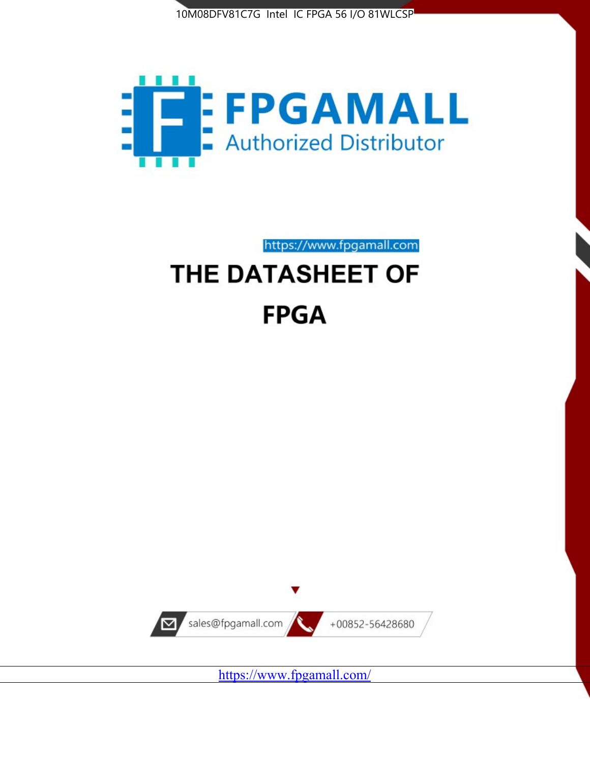



https://www.fpgamall.com THE DATASHEET OF

# **FPGA**



<https://www.fpgamall.com/>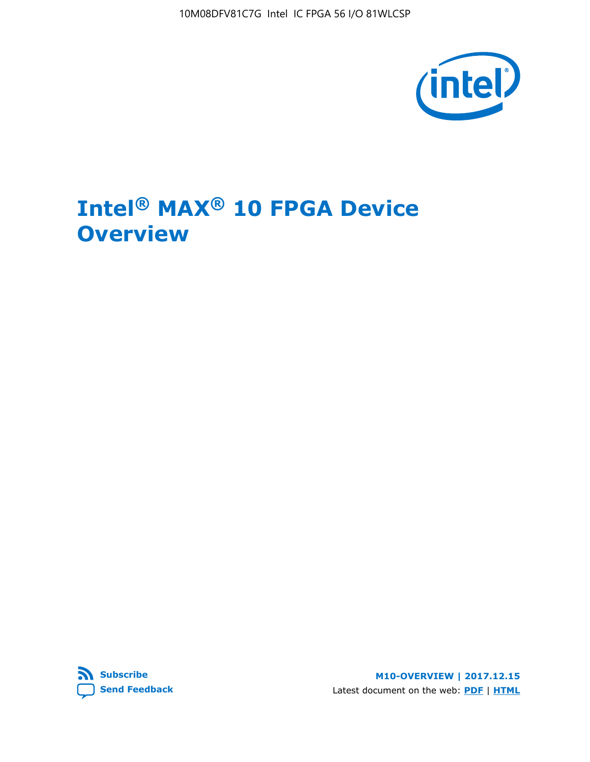10M08DFV81C7G Intel IC FPGA 56 I/O 81WLCSP



# **Intel® MAX® 10 FPGA Device Overview**



**M10-OVERVIEW | 2017.12.15** Latest document on the web: **[PDF](https://www.altera.com/en_US/pdfs/literature/hb/max-10/m10_overview.pdf)** | **[HTML](https://www.altera.com/documentation/myt1396938463674.html)**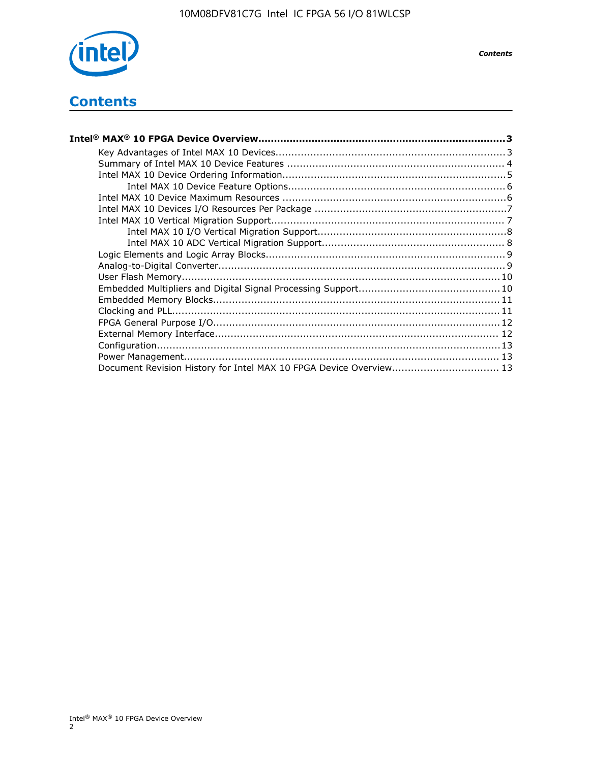

## **Contents**

| Intel® MAX® 10 FPGA Device Overview……………………………………………………………………………3  |  |
|--------------------------------------------------------------------|--|
|                                                                    |  |
|                                                                    |  |
|                                                                    |  |
|                                                                    |  |
|                                                                    |  |
|                                                                    |  |
|                                                                    |  |
|                                                                    |  |
|                                                                    |  |
|                                                                    |  |
|                                                                    |  |
|                                                                    |  |
|                                                                    |  |
|                                                                    |  |
|                                                                    |  |
|                                                                    |  |
|                                                                    |  |
|                                                                    |  |
|                                                                    |  |
| Document Revision History for Intel MAX 10 FPGA Device Overview 13 |  |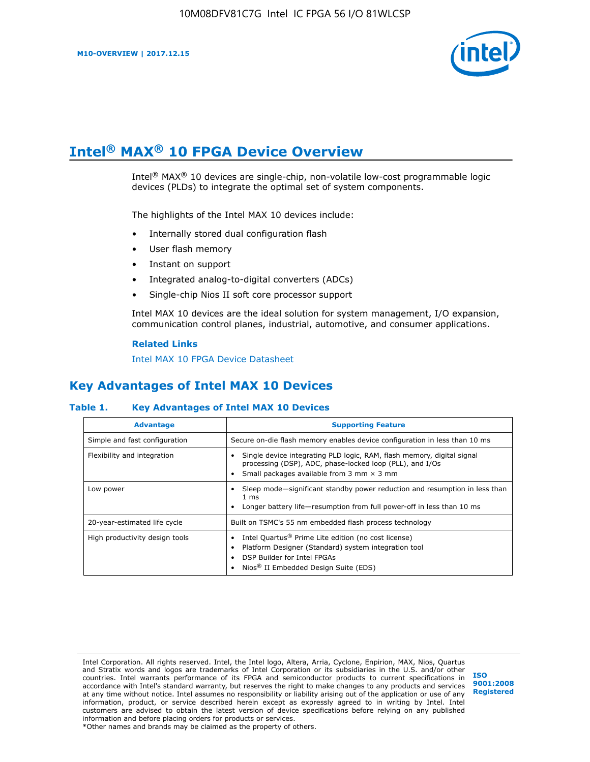

# **Intel® MAX® 10 FPGA Device Overview**

Intel® MAX® 10 devices are single-chip, non-volatile low-cost programmable logic devices (PLDs) to integrate the optimal set of system components.

The highlights of the Intel MAX 10 devices include:

- Internally stored dual configuration flash
- User flash memory
- Instant on support
- Integrated analog-to-digital converters (ADCs)
- Single-chip Nios II soft core processor support

Intel MAX 10 devices are the ideal solution for system management, I/O expansion, communication control planes, industrial, automotive, and consumer applications.

#### **Related Links**

[Intel MAX 10 FPGA Device Datasheet](https://www.altera.com/documentation/mcn1397700832153.html#mcn1397643748870)

## **Key Advantages of Intel MAX 10 Devices**

#### **Table 1. Key Advantages of Intel MAX 10 Devices**

| <b>Advantage</b>               | <b>Supporting Feature</b>                                                                                                                                                                                  |  |  |  |
|--------------------------------|------------------------------------------------------------------------------------------------------------------------------------------------------------------------------------------------------------|--|--|--|
| Simple and fast configuration  | Secure on-die flash memory enables device configuration in less than 10 ms                                                                                                                                 |  |  |  |
| Flexibility and integration    | Single device integrating PLD logic, RAM, flash memory, digital signal<br>processing (DSP), ADC, phase-locked loop (PLL), and I/Os<br>Small packages available from 3 mm $\times$ 3 mm                     |  |  |  |
| Low power                      | Sleep mode—significant standby power reduction and resumption in less than<br>$1 \text{ ms}$<br>Longer battery life-resumption from full power-off in less than 10 ms                                      |  |  |  |
| 20-year-estimated life cycle   | Built on TSMC's 55 nm embedded flash process technology                                                                                                                                                    |  |  |  |
| High productivity design tools | Intel Quartus <sup>®</sup> Prime Lite edition (no cost license)<br>Platform Designer (Standard) system integration tool<br>DSP Builder for Intel FPGAs<br>Nios <sup>®</sup> II Embedded Design Suite (EDS) |  |  |  |

Intel Corporation. All rights reserved. Intel, the Intel logo, Altera, Arria, Cyclone, Enpirion, MAX, Nios, Quartus and Stratix words and logos are trademarks of Intel Corporation or its subsidiaries in the U.S. and/or other countries. Intel warrants performance of its FPGA and semiconductor products to current specifications in accordance with Intel's standard warranty, but reserves the right to make changes to any products and services at any time without notice. Intel assumes no responsibility or liability arising out of the application or use of any information, product, or service described herein except as expressly agreed to in writing by Intel. Intel customers are advised to obtain the latest version of device specifications before relying on any published information and before placing orders for products or services. \*Other names and brands may be claimed as the property of others.

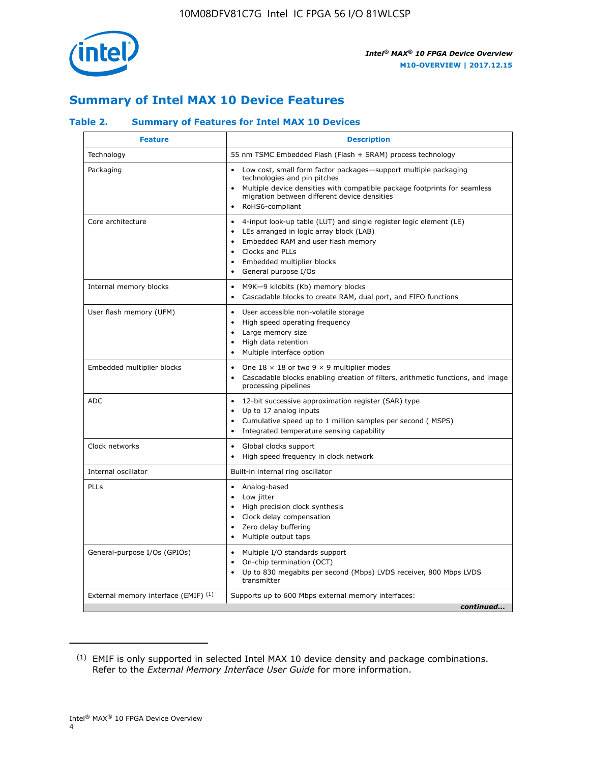

## **Summary of Intel MAX 10 Device Features**

#### **Table 2. Summary of Features for Intel MAX 10 Devices**

| <b>Feature</b>                       | <b>Description</b>                                                                                                                                                                                                                                                                            |
|--------------------------------------|-----------------------------------------------------------------------------------------------------------------------------------------------------------------------------------------------------------------------------------------------------------------------------------------------|
| Technology                           | 55 nm TSMC Embedded Flash (Flash + SRAM) process technology                                                                                                                                                                                                                                   |
| Packaging                            | Low cost, small form factor packages-support multiple packaging<br>technologies and pin pitches<br>Multiple device densities with compatible package footprints for seamless<br>migration between different device densities<br>RoHS6-compliant                                               |
| Core architecture                    | 4-input look-up table (LUT) and single register logic element (LE)<br>$\bullet$<br>LEs arranged in logic array block (LAB)<br>$\bullet$<br>Embedded RAM and user flash memory<br>$\bullet$<br>Clocks and PLLs<br>$\bullet$<br>Embedded multiplier blocks<br>General purpose I/Os<br>$\bullet$ |
| Internal memory blocks               | M9K-9 kilobits (Kb) memory blocks<br>$\bullet$<br>Cascadable blocks to create RAM, dual port, and FIFO functions<br>$\bullet$                                                                                                                                                                 |
| User flash memory (UFM)              | User accessible non-volatile storage<br>$\bullet$<br>High speed operating frequency<br>$\bullet$<br>Large memory size<br>$\bullet$<br>High data retention<br>$\bullet$<br>Multiple interface option                                                                                           |
| Embedded multiplier blocks           | One $18 \times 18$ or two 9 $\times$ 9 multiplier modes<br>$\bullet$<br>Cascadable blocks enabling creation of filters, arithmetic functions, and image<br>processing pipelines                                                                                                               |
| <b>ADC</b>                           | 12-bit successive approximation register (SAR) type<br>$\bullet$<br>Up to 17 analog inputs<br>$\bullet$<br>Cumulative speed up to 1 million samples per second (MSPS)<br>Integrated temperature sensing capability                                                                            |
| Clock networks                       | Global clocks support<br>$\bullet$<br>High speed frequency in clock network                                                                                                                                                                                                                   |
| Internal oscillator                  | Built-in internal ring oscillator                                                                                                                                                                                                                                                             |
| PLLs                                 | Analog-based<br>Low jitter<br>$\bullet$<br>High precision clock synthesis<br>$\bullet$<br>Clock delay compensation<br>$\bullet$<br>Zero delay buffering<br>$\bullet$<br>Multiple output taps<br>$\bullet$                                                                                     |
| General-purpose I/Os (GPIOs)         | • Multiple I/O standards support<br>On-chip termination (OCT)<br>$\bullet$<br>Up to 830 megabits per second (Mbps) LVDS receiver, 800 Mbps LVDS<br>transmitter                                                                                                                                |
| External memory interface (EMIF) (1) | Supports up to 600 Mbps external memory interfaces:<br>continued                                                                                                                                                                                                                              |

<sup>(1)</sup> EMIF is only supported in selected Intel MAX 10 device density and package combinations. Refer to the *External Memory Interface User Guide* for more information.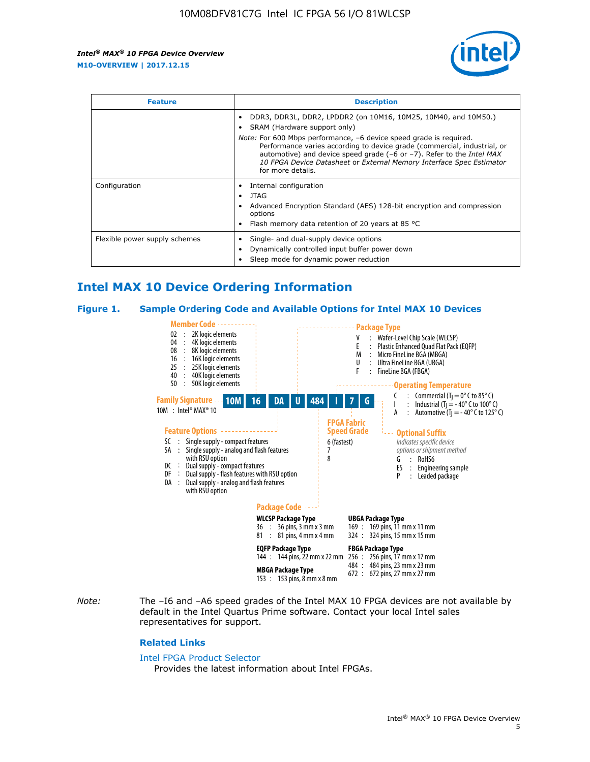

| <b>Feature</b>                | <b>Description</b>                                                                                                                                                                                                                                                                                                                                                                                                            |  |  |  |
|-------------------------------|-------------------------------------------------------------------------------------------------------------------------------------------------------------------------------------------------------------------------------------------------------------------------------------------------------------------------------------------------------------------------------------------------------------------------------|--|--|--|
|                               | DDR3, DDR3L, DDR2, LPDDR2 (on 10M16, 10M25, 10M40, and 10M50.)<br>SRAM (Hardware support only)<br><i>Note:</i> For 600 Mbps performance, -6 device speed grade is required.<br>Performance varies according to device grade (commercial, industrial, or<br>automotive) and device speed grade (-6 or -7). Refer to the Intel MAX<br>10 FPGA Device Datasheet or External Memory Interface Spec Estimator<br>for more details. |  |  |  |
| Configuration                 | Internal configuration<br>JTAG<br>٠<br>Advanced Encryption Standard (AES) 128-bit encryption and compression<br>options<br>Flash memory data retention of 20 years at 85 $^{\circ}$ C                                                                                                                                                                                                                                         |  |  |  |
| Flexible power supply schemes | Single- and dual-supply device options<br>Dynamically controlled input buffer power down<br>Sleep mode for dynamic power reduction                                                                                                                                                                                                                                                                                            |  |  |  |

## **Intel MAX 10 Device Ordering Information**

#### **Figure 1. Sample Ordering Code and Available Options for Intel MAX 10 Devices**



*Note:* The –I6 and –A6 speed grades of the Intel MAX 10 FPGA devices are not available by default in the Intel Quartus Prime software. Contact your local Intel sales representatives for support.

#### **Related Links**

#### [Intel FPGA Product Selector](http://www.altera.com/products/selector/psg-selector.html)

Provides the latest information about Intel FPGAs.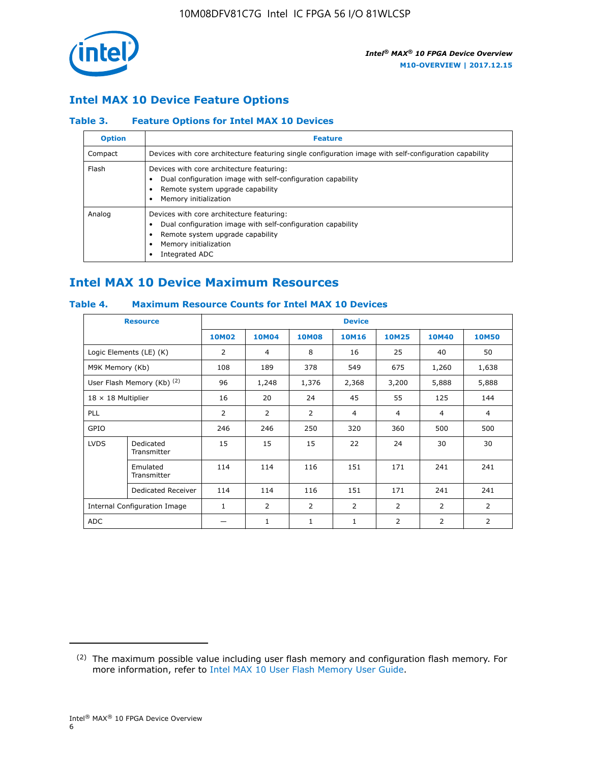

## **Intel MAX 10 Device Feature Options**

#### **Table 3. Feature Options for Intel MAX 10 Devices**

| <b>Option</b> | <b>Feature</b>                                                                                                                                                                          |
|---------------|-----------------------------------------------------------------------------------------------------------------------------------------------------------------------------------------|
| Compact       | Devices with core architecture featuring single configuration image with self-configuration capability                                                                                  |
| Flash         | Devices with core architecture featuring:<br>Dual configuration image with self-configuration capability<br>Remote system upgrade capability<br>Memory initialization                   |
| Analog        | Devices with core architecture featuring:<br>Dual configuration image with self-configuration capability<br>Remote system upgrade capability<br>Memory initialization<br>Integrated ADC |

## **Intel MAX 10 Device Maximum Resources**

#### **Table 4. Maximum Resource Counts for Intel MAX 10 Devices**

| <b>Resource</b>                     |                            | <b>Device</b> |                |                |                |                |                |                |
|-------------------------------------|----------------------------|---------------|----------------|----------------|----------------|----------------|----------------|----------------|
|                                     |                            | <b>10M02</b>  | 10M04          | <b>10M08</b>   | <b>10M16</b>   | <b>10M25</b>   | <b>10M40</b>   | <b>10M50</b>   |
|                                     | Logic Elements (LE) (K)    | 2             | 4              | 8              | 16             | 25             | 40             | 50             |
| M9K Memory (Kb)                     |                            | 108           | 189            | 378            | 549            | 675            | 1,260          | 1,638          |
|                                     | User Flash Memory (Kb) (2) | 96            | 1,248          | 1,376          | 2,368          | 3,200          | 5,888          | 5,888          |
| $18 \times 18$ Multiplier           |                            | 16            | 20             | 24             | 45             | 55             | 125            | 144            |
| <b>PLL</b>                          |                            | 2             | $\overline{2}$ | $\overline{2}$ | $\overline{4}$ | $\overline{4}$ | 4              | $\overline{4}$ |
| GPIO                                |                            | 246           | 246            | 250            | 320            | 360            | 500            | 500            |
| <b>LVDS</b>                         | Dedicated<br>Transmitter   | 15            | 15             | 15             | 22             | 24             | 30             | 30             |
|                                     | Emulated<br>Transmitter    | 114           | 114            | 116            | 151            | 171            | 241            | 241            |
|                                     | Dedicated Receiver         | 114           | 114            | 116            | 151            | 171            | 241            | 241            |
| <b>Internal Configuration Image</b> |                            | $\mathbf{1}$  | $\overline{2}$ | $\overline{2}$ | $\overline{2}$ | 2              | $\overline{2}$ | $\overline{2}$ |
| <b>ADC</b>                          |                            |               | 1              | $\mathbf{1}$   | $\mathbf{1}$   | 2              | 2              | 2              |

<sup>(2)</sup> The maximum possible value including user flash memory and configuration flash memory. For more information, refer to [Intel MAX 10 User Flash Memory User Guide](https://www.altera.com/documentation/vgo1395753117436.html#vgo1395811844282).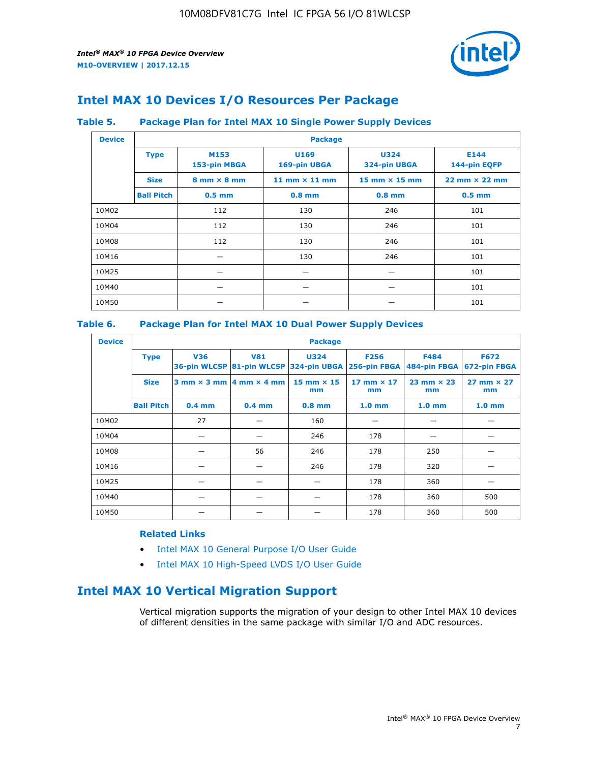

## **Intel MAX 10 Devices I/O Resources Per Package**

#### **Table 5. Package Plan for Intel MAX 10 Single Power Supply Devices**

| <b>Device</b> |                   | <b>Package</b>                     |                      |                             |                                      |  |  |  |
|---------------|-------------------|------------------------------------|----------------------|-----------------------------|--------------------------------------|--|--|--|
|               | <b>Type</b>       | M153<br>153-pin MBGA               | U169<br>169-pin UBGA | <b>U324</b><br>324-pin UBGA | E144<br>144-pin EQFP                 |  |  |  |
|               | <b>Size</b>       | $8 \text{ mm} \times 8 \text{ mm}$ | 11 mm $\times$ 11 mm | 15 mm $\times$ 15 mm        | $22 \text{ mm} \times 22 \text{ mm}$ |  |  |  |
|               | <b>Ball Pitch</b> | $0.5$ mm                           | $0.8$ mm             | $0.8$ mm                    | $0.5$ mm                             |  |  |  |
| 10M02         |                   | 112                                | 130                  | 246                         | 101                                  |  |  |  |
| 10M04         |                   | 112                                | 130                  | 246                         | 101                                  |  |  |  |
| 10M08         |                   | 112                                | 130                  | 246                         | 101                                  |  |  |  |
| 10M16         |                   |                                    | 130                  | 246                         | 101                                  |  |  |  |
| 10M25         |                   |                                    |                      |                             | 101                                  |  |  |  |
| 10M40         |                   |                                    |                      |                             | 101                                  |  |  |  |
| 10M50         |                   |                                    |                      |                             | 101                                  |  |  |  |

#### **Table 6. Package Plan for Intel MAX 10 Dual Power Supply Devices**

| <b>Device</b> |                   | <b>Package</b> |                                            |                                                                    |                         |                           |                             |  |  |
|---------------|-------------------|----------------|--------------------------------------------|--------------------------------------------------------------------|-------------------------|---------------------------|-----------------------------|--|--|
|               | <b>Type</b>       | <b>V36</b>     | <b>V81</b>                                 | <b>U324</b><br>36-pin WLCSP 81-pin WLCSP 324-pin UBGA 256-pin FBGA | <b>F256</b>             | F484<br>484-pin FBGA      | <b>F672</b><br>672-pin FBGA |  |  |
|               | <b>Size</b>       |                | $3$ mm $\times$ 3 mm $ 4$ mm $\times$ 4 mm | $15$ mm $\times$ 15<br>mm                                          | 17 mm $\times$ 17<br>mm | $23$ mm $\times$ 23<br>mm | $27$ mm $\times$ 27<br>mm   |  |  |
|               | <b>Ball Pitch</b> | $0.4$ mm       | $0.4$ mm                                   | $0.8$ mm                                                           | 1.0 <sub>mm</sub>       | 1.0 <sub>mm</sub>         | 1.0 <sub>mm</sub>           |  |  |
| 10M02         |                   | 27             |                                            | 160                                                                |                         |                           |                             |  |  |
| 10M04         |                   |                |                                            | 246                                                                | 178                     |                           |                             |  |  |
| 10M08         |                   |                | 56                                         | 246                                                                | 178                     | 250                       |                             |  |  |
| 10M16         |                   |                |                                            | 246                                                                | 178                     | 320                       |                             |  |  |
| 10M25         |                   |                |                                            |                                                                    | 178                     | 360                       |                             |  |  |
| 10M40         |                   |                |                                            |                                                                    | 178                     | 360                       | 500                         |  |  |
| 10M50         |                   |                |                                            |                                                                    | 178                     | 360                       | 500                         |  |  |

#### **Related Links**

- [Intel MAX 10 General Purpose I/O User Guide](https://www.altera.com/documentation/sam1393999966669.html#sam1394000084476)
- [Intel MAX 10 High-Speed LVDS I/O User Guide](https://www.altera.com/documentation/sam1394433606063.html#sam1394433911642)

## **Intel MAX 10 Vertical Migration Support**

Vertical migration supports the migration of your design to other Intel MAX 10 devices of different densities in the same package with similar I/O and ADC resources.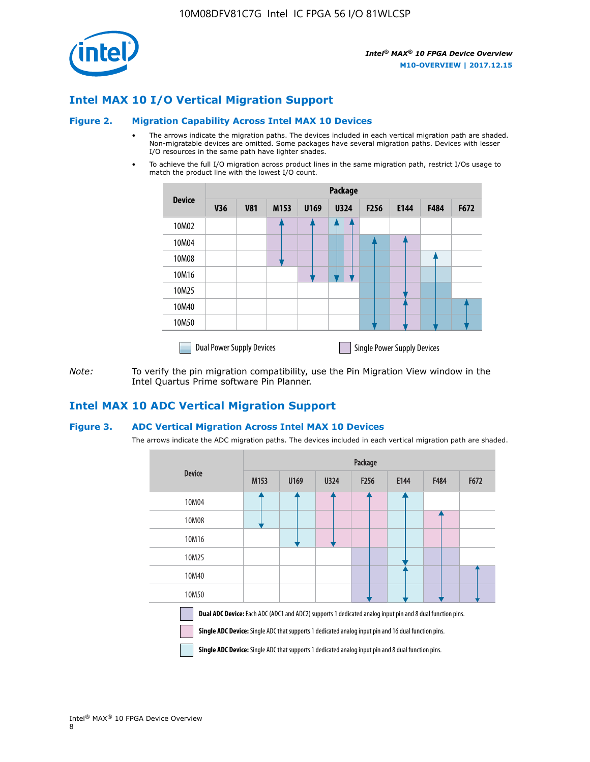

## **Intel MAX 10 I/O Vertical Migration Support**

#### **Figure 2. Migration Capability Across Intel MAX 10 Devices**

- The arrows indicate the migration paths. The devices included in each vertical migration path are shaded. Non-migratable devices are omitted. Some packages have several migration paths. Devices with lesser I/O resources in the same path have lighter shades.
- To achieve the full I/O migration across product lines in the same migration path, restrict I/Os usage to match the product line with the lowest I/O count.

|               | Package                          |            |      |      |             |                  |                                    |      |      |  |
|---------------|----------------------------------|------------|------|------|-------------|------------------|------------------------------------|------|------|--|
| <b>Device</b> | <b>V36</b>                       | <b>V81</b> | M153 | U169 | <b>U324</b> | F <sub>256</sub> | E144                               | F484 | F672 |  |
| 10M02         |                                  |            |      |      | 7           |                  |                                    |      |      |  |
| 10M04         |                                  |            |      |      |             |                  |                                    |      |      |  |
| 10M08         |                                  |            |      |      |             |                  |                                    |      |      |  |
| 10M16         |                                  |            |      |      |             |                  |                                    |      |      |  |
| 10M25         |                                  |            |      |      |             |                  |                                    |      |      |  |
| 10M40         |                                  |            |      |      |             |                  |                                    |      |      |  |
| 10M50         |                                  |            |      |      |             |                  |                                    |      |      |  |
|               | <b>Dual Power Supply Devices</b> |            |      |      |             |                  | <b>Single Power Supply Devices</b> |      |      |  |

*Note:* To verify the pin migration compatibility, use the Pin Migration View window in the Intel Quartus Prime software Pin Planner.

#### **Intel MAX 10 ADC Vertical Migration Support**

#### **Figure 3. ADC Vertical Migration Across Intel MAX 10 Devices**

The arrows indicate the ADC migration paths. The devices included in each vertical migration path are shaded.

|                                                                                                                                                                                                                         | Package |      |      |                  |      |      |      |  |  |
|-------------------------------------------------------------------------------------------------------------------------------------------------------------------------------------------------------------------------|---------|------|------|------------------|------|------|------|--|--|
| <b>Device</b>                                                                                                                                                                                                           | M153    | U169 | U324 | F <sub>256</sub> | E144 | F484 | F672 |  |  |
| 10M04                                                                                                                                                                                                                   |         |      |      |                  |      |      |      |  |  |
| 10M08                                                                                                                                                                                                                   |         |      |      |                  |      |      |      |  |  |
| 10M16                                                                                                                                                                                                                   |         |      |      |                  |      |      |      |  |  |
| 10M25                                                                                                                                                                                                                   |         |      |      |                  |      |      |      |  |  |
| 10M40                                                                                                                                                                                                                   |         |      |      |                  |      |      |      |  |  |
| 10M50                                                                                                                                                                                                                   |         |      |      |                  |      |      |      |  |  |
| Dual ADC Device: Each ADC (ADC1 and ADC2) supports 1 dedicated analog input pin and 8 dual function pins.<br><b>Single ADC Device:</b> Single ADC that supports 1 dedicated analog input pin and 16 dual function pins. |         |      |      |                  |      |      |      |  |  |

**Single ADC Device:** Single ADC that supports 1 dedicated analog input pin and 8 dual function pins.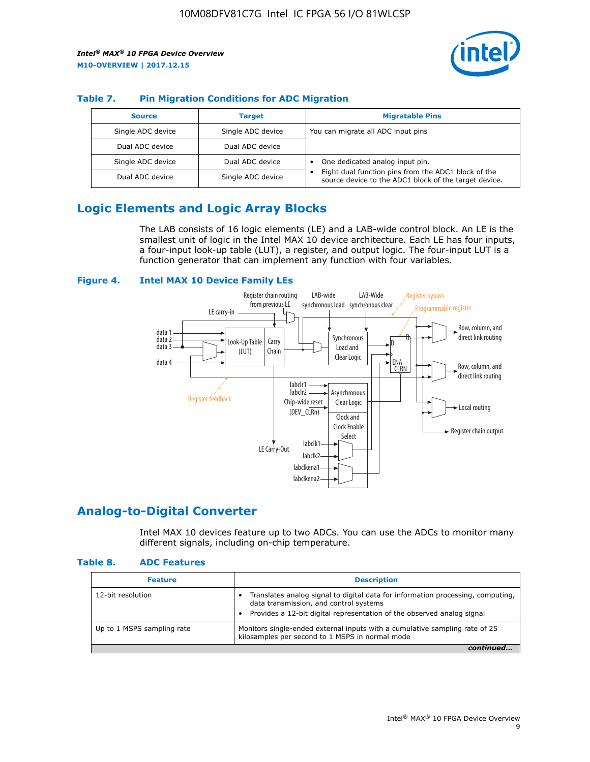

#### **Table 7. Pin Migration Conditions for ADC Migration**

| <b>Source</b>     | <b>Target</b>     | <b>Migratable Pins</b>                                                                                            |
|-------------------|-------------------|-------------------------------------------------------------------------------------------------------------------|
| Single ADC device | Single ADC device | You can migrate all ADC input pins                                                                                |
| Dual ADC device   | Dual ADC device   |                                                                                                                   |
| Single ADC device | Dual ADC device   | One dedicated analog input pin.                                                                                   |
| Dual ADC device   | Single ADC device | Eight dual function pins from the ADC1 block of the<br>٠<br>source device to the ADC1 block of the target device. |

## **Logic Elements and Logic Array Blocks**

The LAB consists of 16 logic elements (LE) and a LAB-wide control block. An LE is the smallest unit of logic in the Intel MAX 10 device architecture. Each LE has four inputs, a four-input look-up table (LUT), a register, and output logic. The four-input LUT is a function generator that can implement any function with four variables.

#### **Figure 4. Intel MAX 10 Device Family LEs**



## **Analog-to-Digital Converter**

Intel MAX 10 devices feature up to two ADCs. You can use the ADCs to monitor many different signals, including on-chip temperature.

#### **Table 8. ADC Features**

| <b>Feature</b>             | <b>Description</b>                                                                                                                                                                                  |
|----------------------------|-----------------------------------------------------------------------------------------------------------------------------------------------------------------------------------------------------|
| 12-bit resolution          | Translates analog signal to digital data for information processing, computing,<br>data transmission, and control systems<br>Provides a 12-bit digital representation of the observed analog signal |
| Up to 1 MSPS sampling rate | Monitors single-ended external inputs with a cumulative sampling rate of 25<br>kilosamples per second to 1 MSPS in normal mode                                                                      |
|                            |                                                                                                                                                                                                     |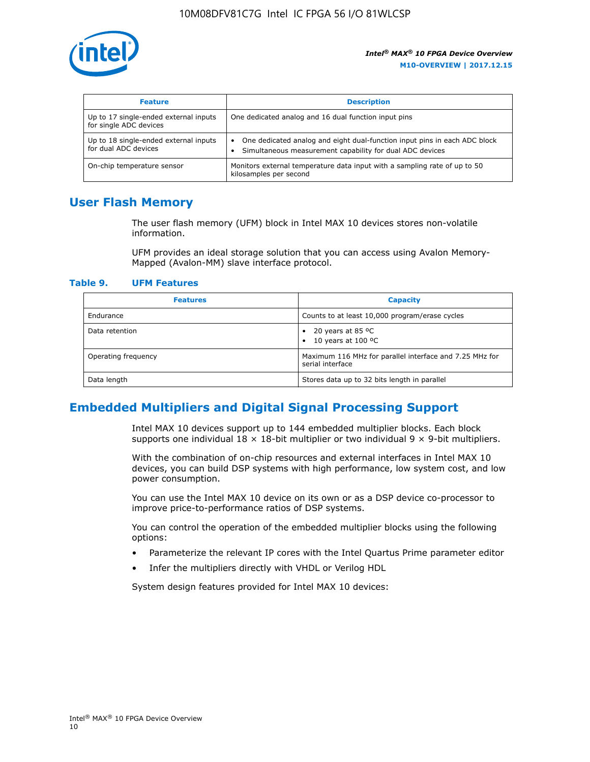

| <b>Feature</b>                                                  | <b>Description</b>                                                                                                                         |
|-----------------------------------------------------------------|--------------------------------------------------------------------------------------------------------------------------------------------|
| Up to 17 single-ended external inputs<br>for single ADC devices | One dedicated analog and 16 dual function input pins                                                                                       |
| Up to 18 single-ended external inputs<br>for dual ADC devices   | One dedicated analog and eight dual-function input pins in each ADC block<br>٠<br>Simultaneous measurement capability for dual ADC devices |
| On-chip temperature sensor                                      | Monitors external temperature data input with a sampling rate of up to 50<br>kilosamples per second                                        |

## **User Flash Memory**

The user flash memory (UFM) block in Intel MAX 10 devices stores non-volatile information.

UFM provides an ideal storage solution that you can access using Avalon Memory-Mapped (Avalon-MM) slave interface protocol.

#### **Table 9. UFM Features**

| <b>Features</b>     | <b>Capacity</b>                                                             |
|---------------------|-----------------------------------------------------------------------------|
| Endurance           | Counts to at least 10,000 program/erase cycles                              |
| Data retention      | 20 years at 85 °C<br>٠<br>10 years at 100 °C<br>$\bullet$                   |
| Operating frequency | Maximum 116 MHz for parallel interface and 7.25 MHz for<br>serial interface |
| Data length         | Stores data up to 32 bits length in parallel                                |

## **Embedded Multipliers and Digital Signal Processing Support**

Intel MAX 10 devices support up to 144 embedded multiplier blocks. Each block supports one individual  $18 \times 18$ -bit multiplier or two individual  $9 \times 9$ -bit multipliers.

With the combination of on-chip resources and external interfaces in Intel MAX 10 devices, you can build DSP systems with high performance, low system cost, and low power consumption.

You can use the Intel MAX 10 device on its own or as a DSP device co-processor to improve price-to-performance ratios of DSP systems.

You can control the operation of the embedded multiplier blocks using the following options:

- Parameterize the relevant IP cores with the Intel Quartus Prime parameter editor
- Infer the multipliers directly with VHDL or Verilog HDL

System design features provided for Intel MAX 10 devices: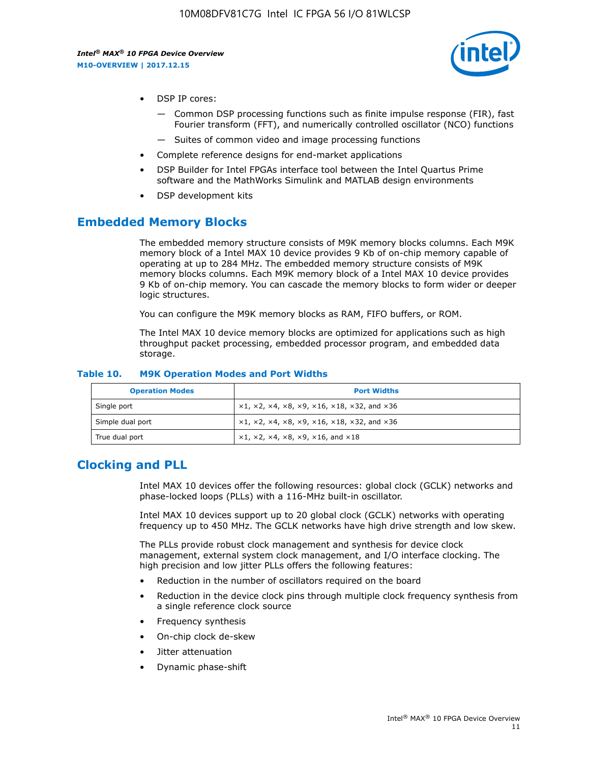

- DSP IP cores:
	- Common DSP processing functions such as finite impulse response (FIR), fast Fourier transform (FFT), and numerically controlled oscillator (NCO) functions
	- Suites of common video and image processing functions
- Complete reference designs for end-market applications
- DSP Builder for Intel FPGAs interface tool between the Intel Quartus Prime software and the MathWorks Simulink and MATLAB design environments
- DSP development kits

### **Embedded Memory Blocks**

The embedded memory structure consists of M9K memory blocks columns. Each M9K memory block of a Intel MAX 10 device provides 9 Kb of on-chip memory capable of operating at up to 284 MHz. The embedded memory structure consists of M9K memory blocks columns. Each M9K memory block of a Intel MAX 10 device provides 9 Kb of on-chip memory. You can cascade the memory blocks to form wider or deeper logic structures.

You can configure the M9K memory blocks as RAM, FIFO buffers, or ROM.

The Intel MAX 10 device memory blocks are optimized for applications such as high throughput packet processing, embedded processor program, and embedded data storage.

| <b>Operation Modes</b> | <b>Port Widths</b>                                                            |
|------------------------|-------------------------------------------------------------------------------|
| Single port            | $x1, x2, x4, x8, x9, x16, x18, x32, and x36$                                  |
| Simple dual port       | $x1, x2, x4, x8, x9, x16, x18, x32, and x36$                                  |
| True dual port         | $\times1, \times2, \times4, \times8, \times9, \times16, \text{and } \times18$ |

#### **Table 10. M9K Operation Modes and Port Widths**

## **Clocking and PLL**

Intel MAX 10 devices offer the following resources: global clock (GCLK) networks and phase-locked loops (PLLs) with a 116-MHz built-in oscillator.

Intel MAX 10 devices support up to 20 global clock (GCLK) networks with operating frequency up to 450 MHz. The GCLK networks have high drive strength and low skew.

The PLLs provide robust clock management and synthesis for device clock management, external system clock management, and I/O interface clocking. The high precision and low jitter PLLs offers the following features:

- Reduction in the number of oscillators required on the board
- Reduction in the device clock pins through multiple clock frequency synthesis from a single reference clock source
- Frequency synthesis
- On-chip clock de-skew
- Jitter attenuation
- Dynamic phase-shift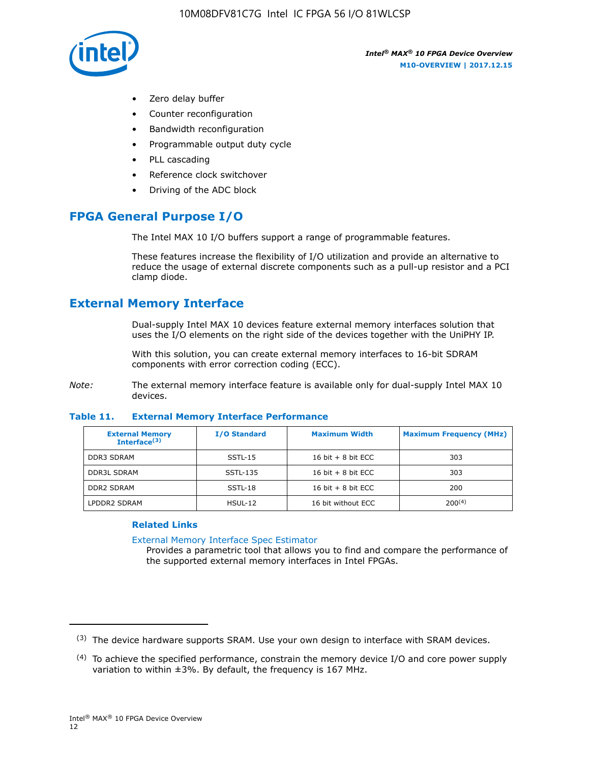

- Zero delay buffer
- Counter reconfiguration
- Bandwidth reconfiguration
- Programmable output duty cycle
- PLL cascading
- Reference clock switchover
- Driving of the ADC block

## **FPGA General Purpose I/O**

The Intel MAX 10 I/O buffers support a range of programmable features.

These features increase the flexibility of I/O utilization and provide an alternative to reduce the usage of external discrete components such as a pull-up resistor and a PCI clamp diode.

## **External Memory Interface**

Dual-supply Intel MAX 10 devices feature external memory interfaces solution that uses the I/O elements on the right side of the devices together with the UniPHY IP.

With this solution, you can create external memory interfaces to 16-bit SDRAM components with error correction coding (ECC).

*Note:* The external memory interface feature is available only for dual-supply Intel MAX 10 devices.

#### **Table 11. External Memory Interface Performance**

| <b>External Memory</b><br>Interface $(3)$ | <b>I/O Standard</b> | <b>Maximum Width</b> | <b>Maximum Frequency (MHz)</b> |
|-------------------------------------------|---------------------|----------------------|--------------------------------|
| <b>DDR3 SDRAM</b>                         | SSTL-15             | 16 bit $+8$ bit ECC  | 303                            |
| <b>DDR3L SDRAM</b>                        | SSTL-135            | 16 bit $+8$ bit ECC  | 303                            |
| <b>DDR2 SDRAM</b>                         | SSTL-18             | 16 bit $+8$ bit ECC  | 200                            |
| LPDDR2 SDRAM                              | $H$ SUL-12          | 16 bit without ECC   | $200^{(4)}$                    |

#### **Related Links**

[External Memory Interface Spec Estimator](http://www.altera.com/technology/memory/estimator/mem-emif-index.html)

Provides a parametric tool that allows you to find and compare the performance of the supported external memory interfaces in Intel FPGAs.

 $(3)$  The device hardware supports SRAM. Use your own design to interface with SRAM devices.

 $(4)$  To achieve the specified performance, constrain the memory device I/O and core power supply variation to within ±3%. By default, the frequency is 167 MHz.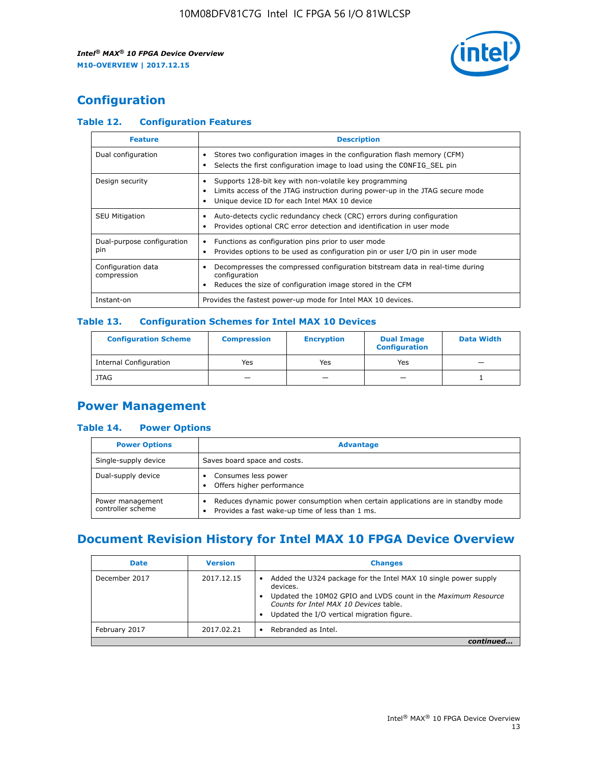

## **Configuration**

#### **Table 12. Configuration Features**

| <b>Feature</b>                    | <b>Description</b>                                                                                                                                                                       |
|-----------------------------------|------------------------------------------------------------------------------------------------------------------------------------------------------------------------------------------|
| Dual configuration                | Stores two configuration images in the configuration flash memory (CFM)<br>Selects the first configuration image to load using the CONFIG SEL pin                                        |
| Design security                   | Supports 128-bit key with non-volatile key programming<br>Limits access of the JTAG instruction during power-up in the JTAG secure mode<br>Unique device ID for each Intel MAX 10 device |
| <b>SEU Mitigation</b>             | Auto-detects cyclic redundancy check (CRC) errors during configuration<br>Provides optional CRC error detection and identification in user mode                                          |
| Dual-purpose configuration<br>pin | Functions as configuration pins prior to user mode<br>$\bullet$<br>Provides options to be used as configuration pin or user I/O pin in user mode                                         |
| Configuration data<br>compression | Decompresses the compressed configuration bitstream data in real-time during<br>configuration<br>Reduces the size of configuration image stored in the CFM                               |
| Instant-on                        | Provides the fastest power-up mode for Intel MAX 10 devices.                                                                                                                             |

#### **Table 13. Configuration Schemes for Intel MAX 10 Devices**

| <b>Configuration Scheme</b>   | <b>Compression</b>       | <b>Encryption</b> | <b>Dual Image</b><br><b>Configuration</b> | <b>Data Width</b> |
|-------------------------------|--------------------------|-------------------|-------------------------------------------|-------------------|
| <b>Internal Configuration</b> | Yes                      | Yes               | Yes                                       |                   |
| <b>JTAG</b>                   | $\overline{\phantom{a}}$ |                   | -                                         |                   |

## **Power Management**

#### **Table 14. Power Options**

| <b>Power Options</b>                  | <b>Advantage</b>                                                                                                                                |  |
|---------------------------------------|-------------------------------------------------------------------------------------------------------------------------------------------------|--|
| Single-supply device                  | Saves board space and costs.                                                                                                                    |  |
| Dual-supply device                    | Consumes less power<br>Offers higher performance<br>$\bullet$                                                                                   |  |
| Power management<br>controller scheme | Reduces dynamic power consumption when certain applications are in standby mode<br>Provides a fast wake-up time of less than 1 ms.<br>$\bullet$ |  |

## **Document Revision History for Intel MAX 10 FPGA Device Overview**

| <b>Date</b>   | <b>Version</b> | <b>Changes</b>                                                                                                                                                                                                                       |
|---------------|----------------|--------------------------------------------------------------------------------------------------------------------------------------------------------------------------------------------------------------------------------------|
| December 2017 | 2017.12.15     | Added the U324 package for the Intel MAX 10 single power supply<br>devices.<br>Updated the 10M02 GPIO and LVDS count in the Maximum Resource<br>Counts for Intel MAX 10 Devices table.<br>Updated the I/O vertical migration figure. |
| February 2017 | 2017.02.21     | Rebranded as Intel.                                                                                                                                                                                                                  |
|               |                |                                                                                                                                                                                                                                      |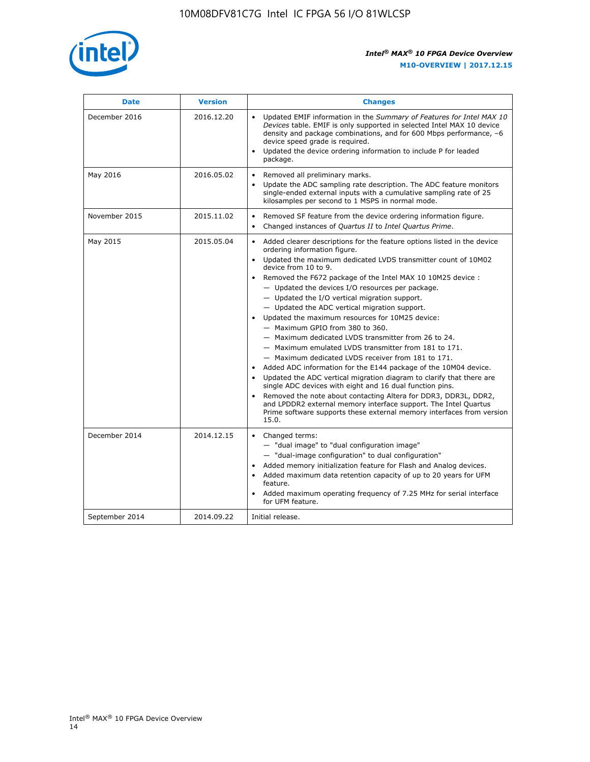

| <b>Date</b>    | <b>Version</b> | <b>Changes</b>                                                                                                                                                                                                                                                                                                                                                                                                                                                                                                                                                                                                                                                                                                                                                                                                                                                                                                                                                                                                                                                                                                                                                          |
|----------------|----------------|-------------------------------------------------------------------------------------------------------------------------------------------------------------------------------------------------------------------------------------------------------------------------------------------------------------------------------------------------------------------------------------------------------------------------------------------------------------------------------------------------------------------------------------------------------------------------------------------------------------------------------------------------------------------------------------------------------------------------------------------------------------------------------------------------------------------------------------------------------------------------------------------------------------------------------------------------------------------------------------------------------------------------------------------------------------------------------------------------------------------------------------------------------------------------|
| December 2016  | 2016.12.20     | • Updated EMIF information in the Summary of Features for Intel MAX 10<br>Devices table. EMIF is only supported in selected Intel MAX 10 device<br>density and package combinations, and for 600 Mbps performance, -6<br>device speed grade is required.<br>Updated the device ordering information to include P for leaded<br>$\bullet$<br>package.                                                                                                                                                                                                                                                                                                                                                                                                                                                                                                                                                                                                                                                                                                                                                                                                                    |
| May 2016       | 2016.05.02     | Removed all preliminary marks.<br>Update the ADC sampling rate description. The ADC feature monitors<br>$\bullet$<br>single-ended external inputs with a cumulative sampling rate of 25<br>kilosamples per second to 1 MSPS in normal mode.                                                                                                                                                                                                                                                                                                                                                                                                                                                                                                                                                                                                                                                                                                                                                                                                                                                                                                                             |
| November 2015  | 2015.11.02     | Removed SF feature from the device ordering information figure.<br>$\bullet$<br>Changed instances of Quartus II to Intel Quartus Prime.<br>$\bullet$                                                                                                                                                                                                                                                                                                                                                                                                                                                                                                                                                                                                                                                                                                                                                                                                                                                                                                                                                                                                                    |
| May 2015       | 2015.05.04     | Added clearer descriptions for the feature options listed in the device<br>$\bullet$<br>ordering information figure.<br>Updated the maximum dedicated LVDS transmitter count of 10M02<br>$\bullet$<br>device from 10 to 9.<br>• Removed the F672 package of the Intel MAX 10 10M25 device :<br>- Updated the devices I/O resources per package.<br>$-$ Updated the I/O vertical migration support.<br>- Updated the ADC vertical migration support.<br>Updated the maximum resources for 10M25 device:<br>$\bullet$<br>- Maximum GPIO from 380 to 360.<br>- Maximum dedicated LVDS transmitter from 26 to 24.<br>- Maximum emulated LVDS transmitter from 181 to 171.<br>- Maximum dedicated LVDS receiver from 181 to 171.<br>Added ADC information for the E144 package of the 10M04 device.<br>$\bullet$<br>Updated the ADC vertical migration diagram to clarify that there are<br>single ADC devices with eight and 16 dual function pins.<br>Removed the note about contacting Altera for DDR3, DDR3L, DDR2,<br>and LPDDR2 external memory interface support. The Intel Quartus<br>Prime software supports these external memory interfaces from version<br>15.0. |
| December 2014  | 2014.12.15     | Changed terms:<br>$\bullet$<br>- "dual image" to "dual configuration image"<br>- "dual-image configuration" to dual configuration"<br>Added memory initialization feature for Flash and Analog devices.<br>$\bullet$<br>Added maximum data retention capacity of up to 20 years for UFM<br>$\bullet$<br>feature.<br>Added maximum operating frequency of 7.25 MHz for serial interface<br>$\bullet$<br>for UFM feature.                                                                                                                                                                                                                                                                                                                                                                                                                                                                                                                                                                                                                                                                                                                                                 |
| September 2014 | 2014.09.22     | Initial release.                                                                                                                                                                                                                                                                                                                                                                                                                                                                                                                                                                                                                                                                                                                                                                                                                                                                                                                                                                                                                                                                                                                                                        |